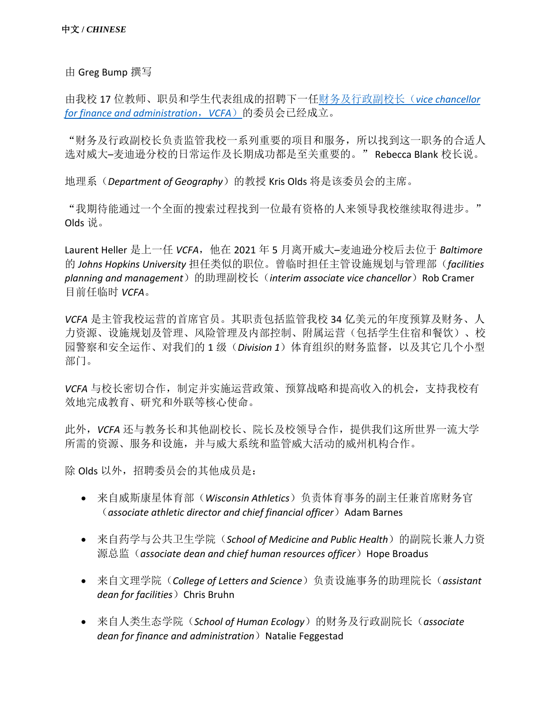由 Greg Bump 撰写

由我校 17 位教师、职员和学生代表组成的招聘下一[任财务及行政副校长\(](https://www.vc.wisc.edu/)*[vice chancellor](https://www.vc.wisc.edu/)  [for finance and administration](https://www.vc.wisc.edu/)*,*VCFA*)的委员会已经成立。

"财务及行政副校长负责监管我校一系列重要的项目和服务,所以找到这一职务的合适人 选对威大–麦迪逊分校的日常运作及长期成功都是至关重要的。" Rebecca Blank 校长说。

地理系(*Department of Geography*)的教授 Kris Olds 将是该委员会的主席。

"我期待能通过一个全面的搜索过程找到一位最有资格的人来领导我校继续取得进步。" Olds 说。

Laurent Heller 是上一任 VCFA, 他在 2021 年 5 月离开威大–麦迪逊分校后去位于 Baltimore 的 *Johns Hopkins University* 担任类似的职位。曾临时担任主管设施规划与管理部(*facilities planning and management*)的助理副校长(*interim associate vice chancellor*)Rob Cramer 目前任临时 *VCFA*。

*VCFA* 是主管我校运营的首席官员。其职责包括监管我校 34 亿美元的年度预算及财务、人 力资源、设施规划及管理、风险管理及内部控制、附属运营(包括学生住宿和餐饮)、校 园警察和安全运作、对我们的 1 级(*Division 1*)体育组织的财务监督,以及其它几个小型 部门。

*VCFA* 与校长密切合作,制定并实施运营政策、预算战略和提高收入的机会,支持我校有 效地完成教育、研究和外联等核心使命。

此外,*VCFA* 还与教务长和其他副校长、院长及校领导合作,提供我们这所世界一流大学 所需的资源、服务和设施,并与威大系统和监管威大活动的威州机构合作。

除 Olds 以外,招聘委员会的其他成员是:

- 来自威斯康星体育部(*Wisconsin Athletics*)负责体育事务的副主任兼首席财务官 (*associate athletic director and chief financial officer*) Adam Barnes
- 来自药学与公共卫生学院(*School of Medicine and Public Health*)的副院长兼人力资 源总监 (associate dean and chief human resources officer) Hope Broadus
- 来自文理学院(*College of Letters and Science*)负责设施事务的助理院长(*assistant dean for facilities*) Chris Bruhn
- 来自人类生态学院(*School of Human Ecology*)的财务及行政副院长(*associate dean for finance and administration*) Natalie Feggestad